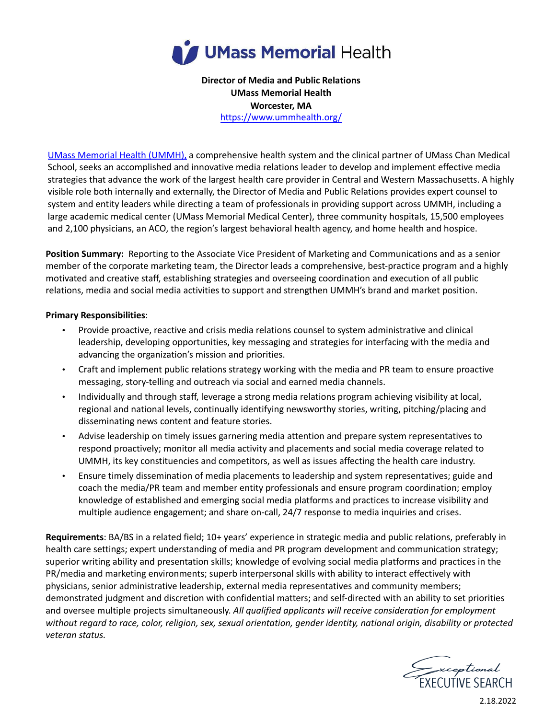

**Director of Media and Public Relations UMass Memorial Health Worcester, MA** https://www.ummhealth.org/

UMass [Memorial](https://www.ummhealth.org/) Health (UMMH), a comprehensive health system and the clinical partner of UMass Chan Medical School, seeks an accomplished and innovative media relations leader to develop and implement effective media strategies that advance the work of the largest health care provider in Central and Western Massachusetts. A highly visible role both internally and externally, the Director of Media and Public Relations provides expert counsel to system and entity leaders while directing a team of professionals in providing support across UMMH, including a large academic medical center (UMass Memorial Medical Center), three community hospitals, 15,500 employees and 2,100 physicians, an ACO, the region's largest behavioral health agency, and home health and hospice.

**Position Summary:** Reporting to the Associate Vice President of Marketing and Communications and as a senior member of the corporate marketing team, the Director leads a comprehensive, best-practice program and a highly motivated and creative staff, establishing strategies and overseeing coordination and execution of all public relations, media and social media activities to support and strengthen UMMH's brand and market position.

## **Primary Responsibilities**:

- Provide proactive, reactive and crisis media relations counsel to system administrative and clinical leadership, developing opportunities, key messaging and strategies for interfacing with the media and advancing the organization's mission and priorities.
- Craft and implement public relations strategy working with the media and PR team to ensure proactive messaging, story-telling and outreach via social and earned media channels.
- Individually and through staff, leverage a strong media relations program achieving visibility at local, regional and national levels, continually identifying newsworthy stories, writing, pitching/placing and disseminating news content and feature stories.
- Advise leadership on timely issues garnering media attention and prepare system representatives to respond proactively; monitor all media activity and placements and social media coverage related to UMMH, its key constituencies and competitors, as well as issues affecting the health care industry.
- Ensure timely dissemination of media placements to leadership and system representatives; guide and coach the media/PR team and member entity professionals and ensure program coordination; employ knowledge of established and emerging social media platforms and practices to increase visibility and multiple audience engagement; and share on-call, 24/7 response to media inquiries and crises.

**Requirements**: BA/BS in a related field; 10+ years' experience in strategic media and public relations, preferably in health care settings; expert understanding of media and PR program development and communication strategy; superior writing ability and presentation skills; knowledge of evolving social media platforms and practices in the PR/media and marketing environments; superb interpersonal skills with ability to interact effectively with physicians, senior administrative leadership, external media representatives and community members; demonstrated judgment and discretion with confidential matters; and self-directed with an ability to set priorities and oversee multiple projects simultaneously. *All qualified applicants will receive consideration for employment* without regard to race, color, religion, sex, sexual orientation, gender identity, national origin, disability or protected *veteran status.*



2.18.2022